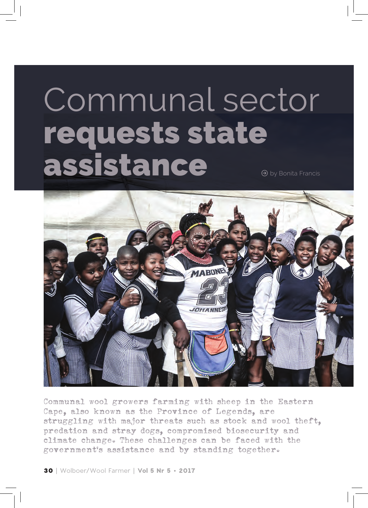## Communal sector requests state assistance



Communal wool growers farming with sheep in the Eastern Cape, also known as the Province of Legends, are struggling with major threats such as stock and wool theft, predation and stray dogs, compromised biosecurity and climate change. These challenges can be faced with the government's assistance and by standing together.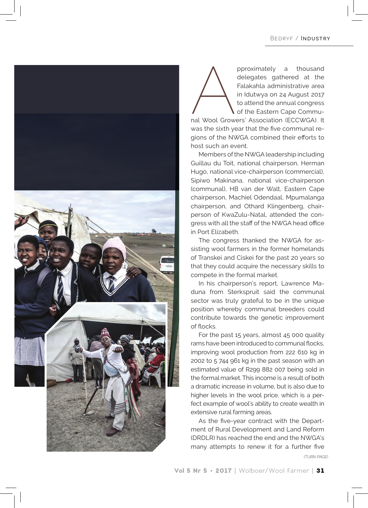

pproximately a thousand<br>delegates gathered at the<br>Falakahla administrative area<br>in Idutwya on 24 August 2017<br>to attend the annual congress<br>of the Eastern Cape Commu-<br>nal Wool Growers' Association (ECCWGA). It delegates gathered at the Falakahla administrative area in Idutwya on 24 August 2017 to attend the annual congress of the Eastern Cape Commu-

nal Wool Growers' Association (ECCWGA). It was the sixth year that the five communal regions of the NWGA combined their efforts to host such an event.

Members of the NWGA leadership including Guillau du Toit, national chairperson, Herman Hugo, national vice-chairperson (commercial), Sipiwo Makinana, national vice-chairperson (communal), HB van der Walt, Eastern Cape chairperson, Machiel Odendaal, Mpumalanga chairperson, and Othard Klingenberg, chairperson of KwaZulu-Natal, attended the congress with all the staff of the NWGA head office in Port Elizabeth.

The congress thanked the NWGA for assisting wool farmers in the former homelands of Transkei and Ciskei for the past 20 years so that they could acquire the necessary skills to compete in the formal market.

In his chairperson's report, Lawrence Maduna from Sterkspruit said the communal sector was truly grateful to be in the unique position whereby communal breeders could contribute towards the genetic improvement of flocks.

For the past 15 years, almost 45 000 quality rams have been introduced to communal flocks, improving wool production from 222 610 kg in 2002 to 5 744 961 kg in the past season with an estimated value of R299 882 007 being sold in the formal market. This income is a result of both a dramatic increase in volume, but is also due to higher levels in the wool price, which is a perfect example of wool's ability to create wealth in extensive rural farming areas.

As the five-year contract with the Department of Rural Development and Land Reform (DRDLR) has reached the end and the NWGA's many attempts to renew it for a further five

*(TURN PAGE)*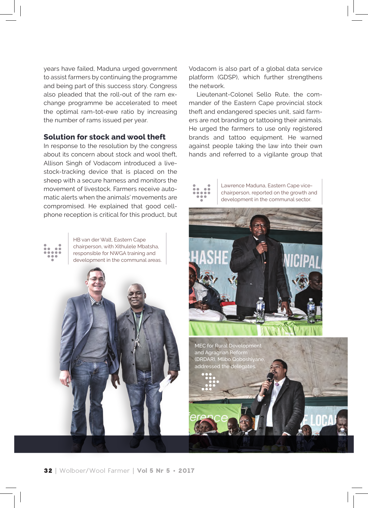years have failed, Maduna urged government to assist farmers by continuing the programme and being part of this success story. Congress also pleaded that the roll-out of the ram exchange programme be accelerated to meet the optimal ram-tot-ewe ratio by increasing the number of rams issued per year.

## **Solution for stock and wool theft**

In response to the resolution by the congress about its concern about stock and wool theft. Allison Singh of Vodacom introduced a livestock-tracking device that is placed on the sheep with a secure harness and monitors the movement of livestock. Farmers receive automatic alerts when the animals' movements are compromised. He explained that good cellphone reception is critical for this product, but

HB van der Walt, Eastern Cape chairperson, with Xithulele Mbatsha, responsible for NWGA training and development in the communal areas. Vodacom is also part of a global data service platform (GDSP), which further strengthens the network.

Lieutenant-Colonel Sello Rute, the commander of the Eastern Cape provincial stock theft and endangered species unit, said farmers are not branding or tattooing their animals. He urged the farmers to use only registered brands and tattoo equipment. He warned against people taking the law into their own hands and referred to a vigilante group that

Lawrence Maduna, Eastern Cape vicechairperson, reported on the growth and development in the communal sector.



MEC for Rural Development and Agragrian Reform (DRDAR), Mlibo Qoboshiyane, addressed the deleg